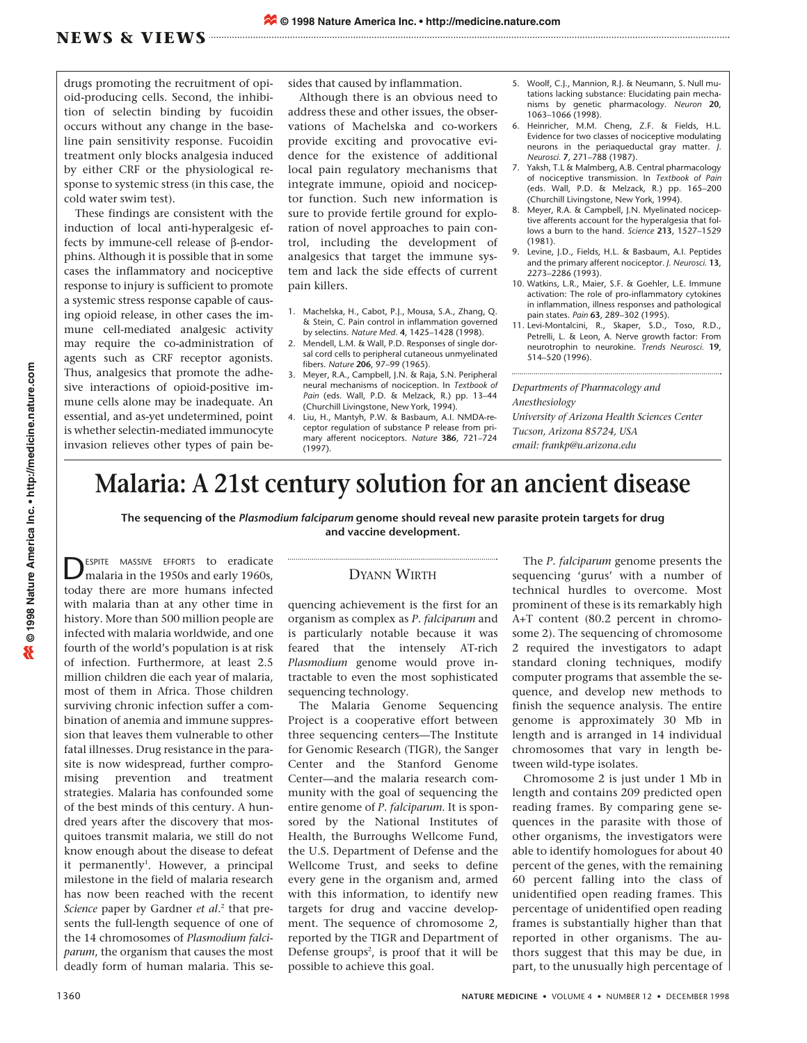## **NEWS & VIEWS**

drugs promoting the recruitment of opioid-producing cells. Second, the inhibition of selectin binding by fucoidin occurs without any change in the baseline pain sensitivity response. Fucoidin treatment only blocks analgesia induced by either CRF or the physiological response to systemic stress (in this case, the cold water swim test).

These findings are consistent with the induction of local anti-hyperalgesic effects by immune-cell release of β-endorphins. Although it is possible that in some cases the inflammatory and nociceptive response to injury is sufficient to promote a systemic stress response capable of causing opioid release, in other cases the immune cell-mediated analgesic activity may require the co-administration of agents such as CRF receptor agonists. Thus, analgesics that promote the adhesive interactions of opioid-positive immune cells alone may be inadequate. An essential, and as-yet undetermined, point is whether selectin-mediated immunocyte invasion relieves other types of pain besides that caused by inflammation.

Although there is an obvious need to address these and other issues, the observations of Machelska and co-workers provide exciting and provocative evidence for the existence of additional local pain regulatory mechanisms that integrate immune, opioid and nociceptor function. Such new information is sure to provide fertile ground for exploration of novel approaches to pain control, including the development of analgesics that target the immune system and lack the side effects of current pain killers.

- 1. Machelska, H., Cabot, P.J., Mousa, S.A., Zhang, Q. & Stein, C. Pain control in inflammation governed by selectins. *Nature Med*. **4**, 1425–1428 (1998).
- Mendell, L.M. & Wall, P.D. Responses of single dorsal cord cells to peripheral cutaneous unmyelinated fibers. *Nature* **206**, 97–99 (1965).
- 3. Meyer, R.A., Campbell, J.N. & Raja, S.N. Peripheral neural mechanisms of nociception. In *Textbook of Pain* (eds. Wall, P.D. & Melzack, R.) pp. 13–44 (Churchill Livingstone, New York, 1994).
- 4. Liu, H., Mantyh, P.W. & Basbaum, A.I. NMDA-receptor regulation of substance P release from primary afferent nociceptors. *Nature* **386**, 721–724  $(1997)$ .
- 5. Woolf, C.J., Mannion, R.J. & Neumann, S. Null mutations lacking substance: Elucidating pain mechanisms by genetic pharmacology. *Neuron* **20**, 1063–1066 (1998).
- 6. Heinricher, M.M. Cheng, Z.F. & Fields, H.L. Evidence for two classes of nociceptive modulating neurons in the periaqueductal gray matter. *J. Neurosci.* **7**, 271–788 (1987).
- 7. Yaksh, T.L & Malmberg, A.B. Central pharmacology of nociceptive transmission. In *Textbook of Pain* (eds. Wall, P.D. & Melzack, R.) pp. 165–200 (Churchill Livingstone, New York, 1994).
- 8. Meyer, R.A. & Campbell, J.N. Myelinated nociceptive afferents account for the hyperalgesia that follows a burn to the hand. *Science* **213**, 1527–1529 (1981).
- 9. Levine, J.D., Fields, H.L. & Basbaum, A.I. Peptides and the primary afferent nociceptor. *J. Neurosci.* **13**, 2273–2286 (1993).
- 10. Watkins, L.R., Maier, S.F. & Goehler, L.E. Immune activation: The role of pro-inflammatory cytokines in inflammation, illness responses and pathological pain states. *Pain* **63**, 289–302 (1995).
- 11. Levi-Montalcini, R., Skaper, S.D., Toso, R.D., Petrelli, L. & Leon, A. Nerve growth factor: From neurotrophin to neurokine. *Trends Neurosci.* **19**, 514–520 (1996).

*Departments of Pharmacology and Anesthesiology University of Arizona Health Sciences Center Tucson, Arizona 85724, USA*

*email: frankp@u.arizona.edu*

## **Malaria: A 21st century solution for an ancient disease**

**The sequencing of the** *Plasmodium falciparum* **genome should reveal new parasite protein targets for drug and vaccine development.**

ESPITE MASSIVE EFFORTS to eradicate malaria in the 1950s and early 1960s, today there are more humans infected with malaria than at any other time in history. More than 500 million people are infected with malaria worldwide, and one fourth of the world's population is at risk of infection. Furthermore, at least 2.5 million children die each year of malaria, most of them in Africa. Those children surviving chronic infection suffer a combination of anemia and immune suppression that leaves them vulnerable to other fatal illnesses. Drug resistance in the parasite is now widespread, further compromising prevention and treatment strategies. Malaria has confounded some of the best minds of this century. A hundred years after the discovery that mosquitoes transmit malaria, we still do not know enough about the disease to defeat it permanently<sup>1</sup>. However, a principal milestone in the field of malaria research has now been reached with the recent *Science* paper by Gardner *et al*. <sup>2</sup> that presents the full-length sequence of one of the 14 chromosomes of *Plasmodium falciparum*, the organism that causes the most deadly form of human malaria. This se-

## DYANN WIRTH

quencing achievement is the first for an organism as complex as *P. falciparum* and is particularly notable because it was feared that the intensely AT-rich *Plasmodium* genome would prove intractable to even the most sophisticated sequencing technology.

The Malaria Genome Sequencing Project is a cooperative effort between three sequencing centers—The Institute for Genomic Research (TIGR), the Sanger Center and the Stanford Genome Center—and the malaria research community with the goal of sequencing the entire genome of *P. falciparum*. It is sponsored by the National Institutes of Health, the Burroughs Wellcome Fund, the U.S. Department of Defense and the Wellcome Trust, and seeks to define every gene in the organism and, armed with this information, to identify new targets for drug and vaccine development. The sequence of chromosome 2, reported by the TIGR and Department of Defense groups<sup>2</sup>, is proof that it will be possible to achieve this goal.

The *P. falciparum* genome presents the sequencing 'gurus' with a number of technical hurdles to overcome. Most prominent of these is its remarkably high A+T content (80.2 percent in chromosome 2). The sequencing of chromosome 2 required the investigators to adapt standard cloning techniques, modify computer programs that assemble the sequence, and develop new methods to finish the sequence analysis. The entire genome is approximately 30 Mb in length and is arranged in 14 individual chromosomes that vary in length between wild-type isolates.

Chromosome 2 is just under 1 Mb in length and contains 209 predicted open reading frames. By comparing gene sequences in the parasite with those of other organisms, the investigators were able to identify homologues for about 40 percent of the genes, with the remaining 60 percent falling into the class of unidentified open reading frames. This percentage of unidentified open reading frames is substantially higher than that reported in other organisms. The authors suggest that this may be due, in part, to the unusually high percentage of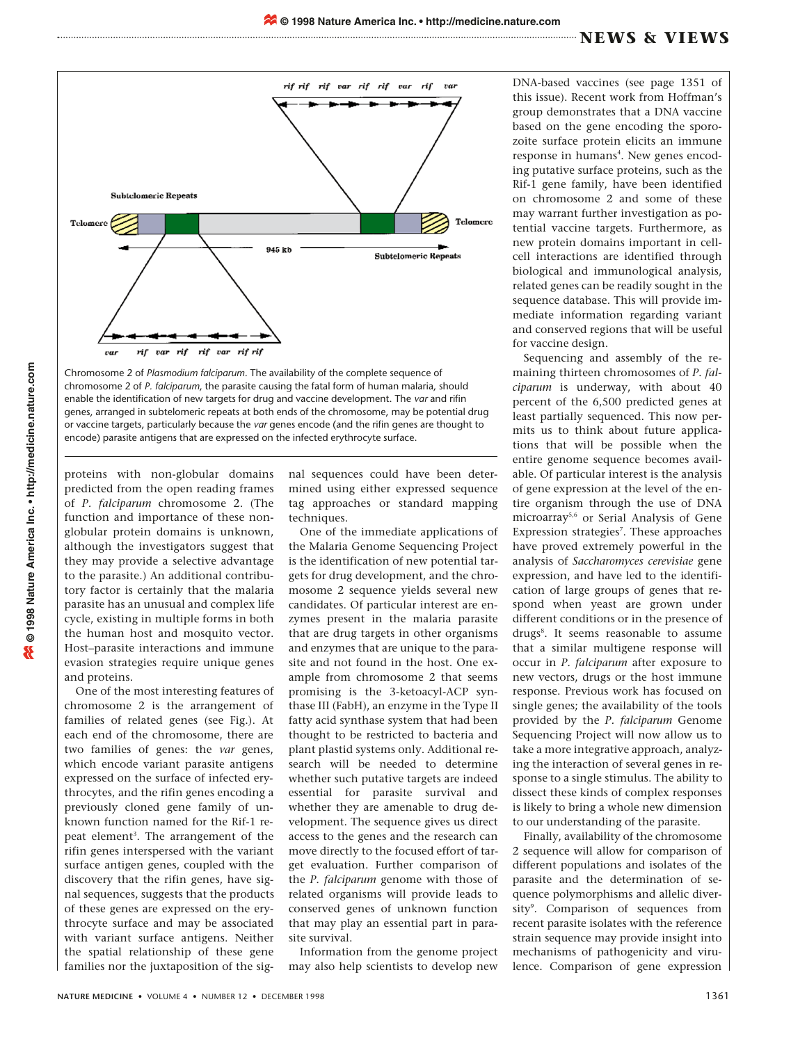

Chromosome 2 of *Plasmodium falciparum*. The availability of the complete sequence of chromosome 2 of *P. falciparum*, the parasite causing the fatal form of human malaria, should enable the identification of new targets for drug and vaccine development. The *var* and rifin genes, arranged in subtelomeric repeats at both ends of the chromosome, may be potential drug or vaccine targets, particularly because the *var* genes encode (and the rifin genes are thought to encode) parasite antigens that are expressed on the infected erythrocyte surface.

proteins with non-globular domains predicted from the open reading frames of *P. falciparum* chromosome 2. (The function and importance of these nonglobular protein domains is unknown, although the investigators suggest that they may provide a selective advantage to the parasite.) An additional contributory factor is certainly that the malaria parasite has an unusual and complex life cycle, existing in multiple forms in both the human host and mosquito vector. Host–parasite interactions and immune evasion strategies require unique genes and proteins.

One of the most interesting features of chromosome 2 is the arrangement of families of related genes (see Fig.). At each end of the chromosome, there are two families of genes: the *var* genes, which encode variant parasite antigens expressed on the surface of infected erythrocytes, and the rifin genes encoding a previously cloned gene family of unknown function named for the Rif-1 repeat element<sup>3</sup>. The arrangement of the rifin genes interspersed with the variant surface antigen genes, coupled with the discovery that the rifin genes, have signal sequences, suggests that the products of these genes are expressed on the erythrocyte surface and may be associated with variant surface antigens. Neither the spatial relationship of these gene families nor the juxtaposition of the signal sequences could have been determined using either expressed sequence tag approaches or standard mapping techniques.

One of the immediate applications of the Malaria Genome Sequencing Project is the identification of new potential targets for drug development, and the chromosome 2 sequence yields several new candidates. Of particular interest are enzymes present in the malaria parasite that are drug targets in other organisms and enzymes that are unique to the parasite and not found in the host. One example from chromosome 2 that seems promising is the 3-ketoacyl-ACP synthase III (FabH), an enzyme in the Type II fatty acid synthase system that had been thought to be restricted to bacteria and plant plastid systems only. Additional research will be needed to determine whether such putative targets are indeed essential for parasite survival and whether they are amenable to drug development. The sequence gives us direct access to the genes and the research can move directly to the focused effort of target evaluation. Further comparison of the *P. falciparum* genome with those of related organisms will provide leads to conserved genes of unknown function that may play an essential part in parasite survival.

Information from the genome project may also help scientists to develop new

DNA-based vaccines (see page 1351 of this issue). Recent work from Hoffman's group demonstrates that a DNA vaccine based on the gene encoding the sporozoite surface protein elicits an immune response in humans<sup>4</sup>. New genes encoding putative surface proteins, such as the Rif-1 gene family, have been identified on chromosome 2 and some of these may warrant further investigation as potential vaccine targets. Furthermore, as new protein domains important in cellcell interactions are identified through biological and immunological analysis, related genes can be readily sought in the sequence database. This will provide immediate information regarding variant and conserved regions that will be useful for vaccine design.

Sequencing and assembly of the remaining thirteen chromosomes of *P. falciparum* is underway, with about 40 percent of the 6,500 predicted genes at least partially sequenced. This now permits us to think about future applications that will be possible when the entire genome sequence becomes available. Of particular interest is the analysis of gene expression at the level of the entire organism through the use of DNA microarray5,6 or Serial Analysis of Gene Expression strategies<sup>7</sup>. These approaches have proved extremely powerful in the analysis of *Saccharomyces cerevisiae* gene expression, and have led to the identification of large groups of genes that respond when yeast are grown under different conditions or in the presence of drugs<sup>8</sup>. It seems reasonable to assume that a similar multigene response will occur in *P. falciparum* after exposure to new vectors, drugs or the host immune response. Previous work has focused on single genes; the availability of the tools provided by the *P. falciparum* Genome Sequencing Project will now allow us to take a more integrative approach, analyzing the interaction of several genes in response to a single stimulus. The ability to dissect these kinds of complex responses is likely to bring a whole new dimension to our understanding of the parasite.

Finally, availability of the chromosome 2 sequence will allow for comparison of different populations and isolates of the parasite and the determination of sequence polymorphisms and allelic diversity<sup>9</sup>. Comparison of sequences from recent parasite isolates with the reference strain sequence may provide insight into mechanisms of pathogenicity and virulence. Comparison of gene expression